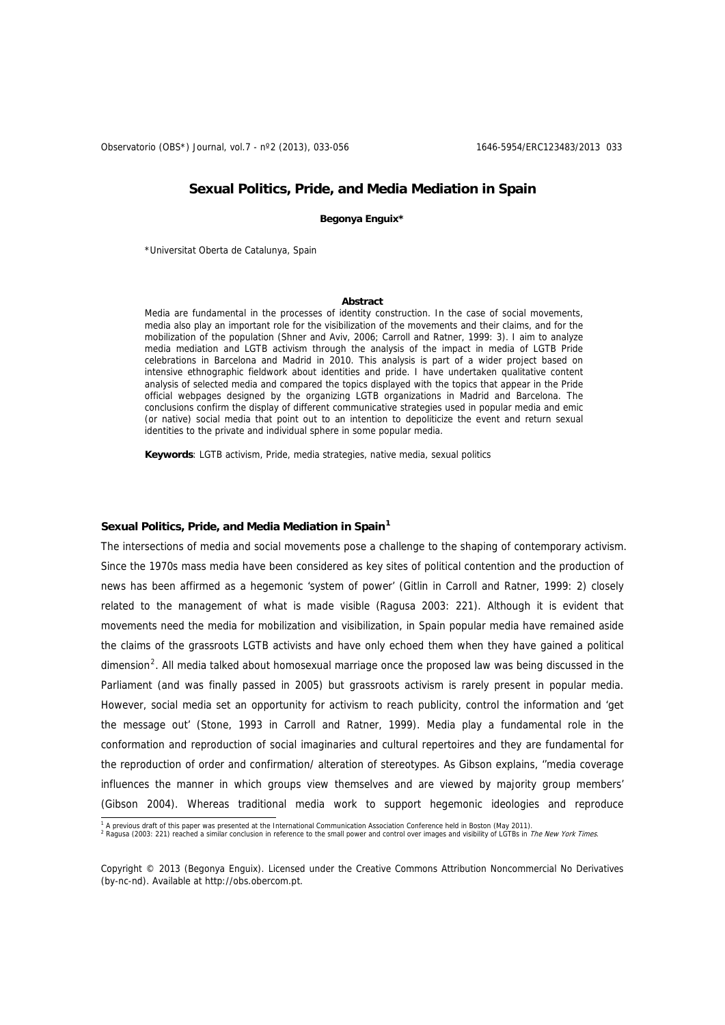Observatorio (OBS\*) Journal, vol.7 - nº2 (2013), 033-056 1646-5954/ERC123483/2013 033

## **Sexual Politics, Pride, and Media Mediation in Spain**

**Begonya Enguix\*** 

\*Universitat Oberta de Catalunya, Spain

#### **Abstract**

Media are fundamental in the processes of identity construction. In the case of social movements, media also play an important role for the visibilization of the movements and their claims, and for the mobilization of the population (Shner and Aviv, 2006; Carroll and Ratner, 1999: 3). I aim to analyze media mediation and LGTB activism through the analysis of the impact in media of LGTB Pride celebrations in Barcelona and Madrid in 2010. This analysis is part of a wider project based on intensive ethnographic fieldwork about identities and pride. I have undertaken qualitative content analysis of selected media and compared the topics displayed with the topics that appear in the Pride official webpages designed by the organizing LGTB organizations in Madrid and Barcelona. The conclusions confirm the display of different communicative strategies used in popular media and emic (or native) social media that point out to an intention to depoliticize the event and return sexual identities to the private and individual sphere in some popular media.

**Keywords**: LGTB activism, Pride, media strategies, native media, sexual politics

### **Sexual Politics, Pride, and Media Mediation in Spain[1](#page-0-0)**

The intersections of media and social movements pose a challenge to the shaping of contemporary activism. Since the 1970s mass media have been considered as key sites of political contention and the production of news has been affirmed as a hegemonic 'system of power' (Gitlin in Carroll and Ratner, 1999: 2) closely related to the management of what is made visible (Ragusa 2003: 221). Although it is evident that movements need the media for mobilization and visibilization, in Spain popular media have remained aside the claims of the grassroots LGTB activists and have only echoed them when they have gained a political dimension<sup>[2](#page-0-1)</sup>. All media talked about homosexual marriage once the proposed law was being discussed in the Parliament (and was finally passed in 2005) but grassroots activism is rarely present in popular media. However, social media set an opportunity for activism to reach publicity, control the information and 'get the message out' (Stone, 1993 in Carroll and Ratner, 1999). Media play a fundamental role in the conformation and reproduction of social imaginaries and cultural repertoires and they are fundamental for the reproduction of order and confirmation/ alteration of stereotypes. As Gibson explains, ''media coverage influences the manner in which groups view themselves and are viewed by majority group members' (Gibson 2004). Whereas traditional media work to support hegemonic ideologies and reproduce

<sup>&</sup>lt;sup>1</sup> A previous draft of this paper was presented at the International Communication Association Conference held in Boston (May 2011).<br><sup>2</sup> Pagues (2003: 231) reached a similar conclusion in reference to the small power and

<span id="page-0-1"></span><span id="page-0-0"></span> $R_{\text{R}}$  respects the sum proposed a similar conclusion in reference to the small power and control over images and visibility of LGTBs in The New York Times.

Copyright © 2013 (Begonya Enguix). Licensed under the Creative Commons Attribution Noncommercial No Derivatives (by-nc-nd). Available at http://obs.obercom.pt.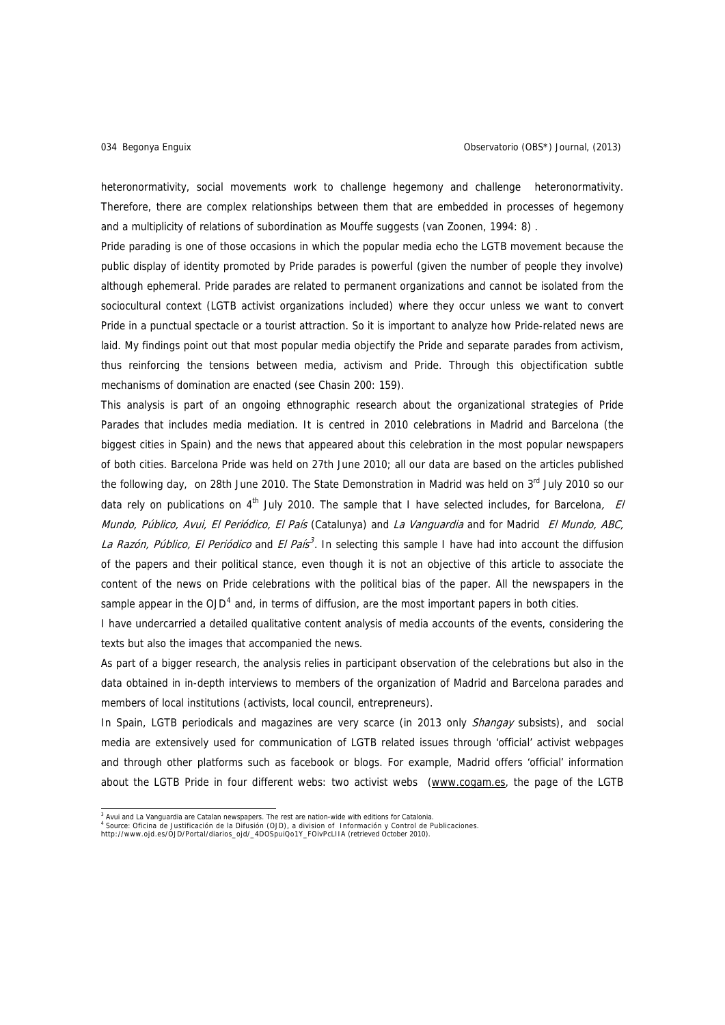heteronormativity, social movements work to challenge hegemony and challenge heteronormativity. Therefore, there are complex relationships between them that are embedded in processes of hegemony and a multiplicity of relations of subordination as Mouffe suggests (van Zoonen, 1994: 8) .

Pride parading is one of those occasions in which the popular media echo the LGTB movement because the public display of identity promoted by Pride parades is powerful (given the number of people they involve) although ephemeral. Pride parades are related to permanent organizations and cannot be isolated from the sociocultural context (LGTB activist organizations included) where they occur unless we want to convert Pride in a punctual spectacle or a tourist attraction. So it is important to analyze how Pride-related news are laid. My findings point out that most popular media objectify the Pride and separate parades from activism, thus reinforcing the tensions between media, activism and Pride. Through this objectification subtle mechanisms of domination are enacted (see Chasin 200: 159).

This analysis is part of an ongoing ethnographic research about the organizational strategies of Pride Parades that includes media mediation. It is centred in 2010 celebrations in Madrid and Barcelona (the biggest cities in Spain) and the news that appeared about this celebration in the most popular newspapers of both cities. Barcelona Pride was held on 27th June 2010; all our data are based on the articles published the following day, on 28th June 2010. The State Demonstration in Madrid was held on 3<sup>rd</sup> July 2010 so our data rely on publications on 4<sup>th</sup> July 2010. The sample that I have selected includes, for Barcelona, *El* Mundo, Público, Avui, El Periódico, El País (Catalunya) and La Vanguardia and for Madrid El Mundo, ABC, La Razón, Público, El Periódico and El País<sup>3</sup>. In selecting this sample I have had into account the diffusion of the papers and their political stance, even though it is not an objective of this article to associate the content of the news on Pride celebrations with the political bias of the paper. All the newspapers in the sample appear in the OJD<sup>[4](#page-1-0)</sup> and, in terms of diffusion, are the most important papers in both cities.

I have undercarried a detailed qualitative content analysis of media accounts of the events, considering the texts but also the images that accompanied the news.

As part of a bigger research, the analysis relies in participant observation of the celebrations but also in the data obtained in in-depth interviews to members of the organization of Madrid and Barcelona parades and members of local institutions (activists, local council, entrepreneurs).

In Spain, LGTB periodicals and magazines are very scarce (in 2013 only Shangay subsists), and social media are extensively used for communication of LGTB related issues through 'official' activist webpages and through other platforms such as facebook or blogs. For example, Madrid offers 'official' information about the LGTB Pride in four different webs: two activist webs (www.cogam.es, the page of the LGTB

<sup>&</sup>lt;sup>3</sup> Avui and La Vanguardia are Catalan newspapers. The rest are nation-wide with editions for Catalonia.<br><sup>4</sup> Source: Oficina de Justificación de la Difusión (OJD), a division of Información y Control de Publicaciones.<br>http

<span id="page-1-0"></span>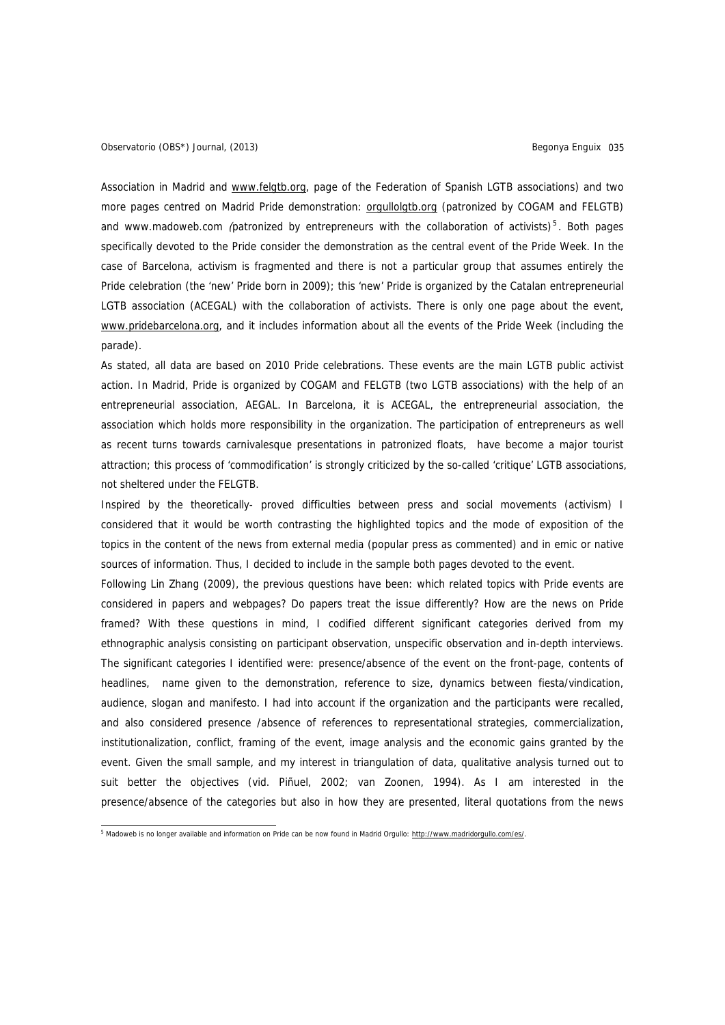Association in Madrid and www.felgtb.org, page of the Federation of Spanish LGTB associations) and two more pages centred on Madrid Pride demonstration: [orgullolgtb.org](http://orgullolgtb.org/) (patronized by COGAM and FELGTB) and www.madoweb.com (patronized by entrepreneurs with the collaboration of activists)<sup>[5](#page-2-0)</sup>. Both pages specifically devoted to the Pride consider the demonstration as the central event of the Pride Week. In the case of Barcelona, activism is fragmented and there is not a particular group that assumes entirely the Pride celebration (the 'new' Pride born in 2009); this 'new' Pride is organized by the Catalan entrepreneurial LGTB association (ACEGAL) with the collaboration of activists. There is only one page about the event, [www.pridebarcelona.org](http://www.pridebarcelona.org/es/), and it includes information about all the events of the Pride Week (including the parade).

As stated, all data are based on 2010 Pride celebrations. These events are the main LGTB public activist action. In Madrid, Pride is organized by COGAM and FELGTB (two LGTB associations) with the help of an entrepreneurial association, AEGAL. In Barcelona, it is ACEGAL, the entrepreneurial association, the association which holds more responsibility in the organization. The participation of entrepreneurs as well as recent turns towards carnivalesque presentations in patronized floats, have become a major tourist attraction; this process of 'commodification' is strongly criticized by the so-called 'critique' LGTB associations, not sheltered under the FELGTB.

Inspired by the theoretically- proved difficulties between press and social movements (activism) I considered that it would be worth contrasting the highlighted topics and the mode of exposition of the topics in the content of the news from external media (popular press as commented) and in emic or native sources of information. Thus, I decided to include in the sample both pages devoted to the event.

Following Lin Zhang (2009), the previous questions have been: which related topics with Pride events are considered in papers and webpages? Do papers treat the issue differently? How are the news on Pride framed? With these questions in mind, I codified different significant categories derived from my ethnographic analysis consisting on participant observation, unspecific observation and in-depth interviews. The significant categories I identified were: presence/absence of the event on the front-page, contents of headlines, name given to the demonstration, reference to size, dynamics between fiesta/vindication, audience, slogan and manifesto. I had into account if the organization and the participants were recalled, and also considered presence /absence of references to representational strategies, commercialization, institutionalization, conflict, framing of the event, image analysis and the economic gains granted by the event. Given the small sample, and my interest in triangulation of data, qualitative analysis turned out to suit better the objectives (vid. Piñuel, 2002; van Zoonen, 1994). As I am interested in the presence/absence of the categories but also in how they are presented, literal quotations from the news

<span id="page-2-0"></span><sup>&</sup>lt;sup>5</sup> Madoweb is no longer available and information on Pride can be now found in Madrid Orgullo: [http://www.madridorgullo.com/es/.](http://www.madridorgullo.com/es/)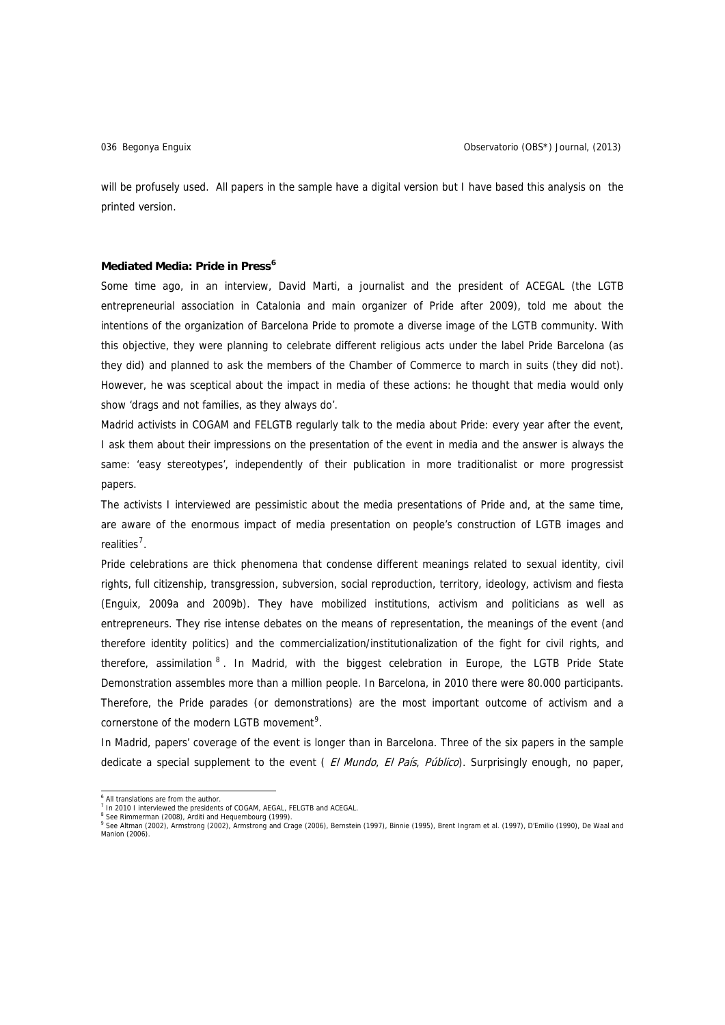will be profusely used. All papers in the sample have a digital version but I have based this analysis on the printed version.

#### **Mediated Media: Pride in Press[6](#page-3-0)**

Some time ago, in an interview, David Marti, a journalist and the president of ACEGAL (the LGTB entrepreneurial association in Catalonia and main organizer of Pride after 2009), told me about the intentions of the organization of Barcelona Pride to promote a diverse image of the LGTB community. With this objective, they were planning to celebrate different religious acts under the label Pride Barcelona (as they did) and planned to ask the members of the Chamber of Commerce to march in suits (they did not). However, he was sceptical about the impact in media of these actions: he thought that media would only show 'drags and not families, as they always do'.

Madrid activists in COGAM and FELGTB regularly talk to the media about Pride: every year after the event, I ask them about their impressions on the presentation of the event in media and the answer is always the same: 'easy stereotypes', independently of their publication in more traditionalist or more progressist papers.

The activists I interviewed are pessimistic about the media presentations of Pride and, at the same time, are aware of the enormous impact of media presentation on people's construction of LGTB images and realities<sup>[7](#page-3-1)</sup>.

Pride celebrations are thick phenomena that condense different meanings related to sexual identity, civil rights, full citizenship, transgression, subversion, social reproduction, territory, ideology, activism and fiesta (Enguix, 2009a and 2009b). They have mobilized institutions, activism and politicians as well as entrepreneurs. They rise intense debates on the means of representation, the meanings of the event (and therefore identity politics) and the commercialization/institutionalization of the fight for civil rights, and therefore, assimilation <sup>[8](#page-3-2)</sup>. In Madrid, with the biggest celebration in Europe, the LGTB Pride State Demonstration assembles more than a million people. In Barcelona, in 2010 there were 80.000 participants. Therefore, the Pride parades (or demonstrations) are the most important outcome of activism and a cornerstone of the modern LGTB movement<sup>[9](#page-3-3)</sup>.

In Madrid, papers' coverage of the event is longer than in Barcelona. Three of the six papers in the sample dedicate a special supplement to the event (*El Mundo, El País, Público*). Surprisingly enough, no paper,

<sup>&</sup>lt;sup>6</sup> All translations are from the author.

<span id="page-3-0"></span><sup>&</sup>lt;sup>7</sup> In 2010 I interviewed the presidents of COGAM, AEGAL, FELGTB and ACEGAL.

<span id="page-3-3"></span><span id="page-3-2"></span><span id="page-3-1"></span><sup>&</sup>lt;sup>8</sup> See Rimmerman (2008), Arditi and Hequembourg (1999).<br><sup>9</sup> See Altman (2002), Armstrong (2002), Armstrong and Crage (2006), Bernstein (1997), Binnie (1995), Brent Ingram et al. (1997), D'Emilio (1990), De Waal and Manion (2006).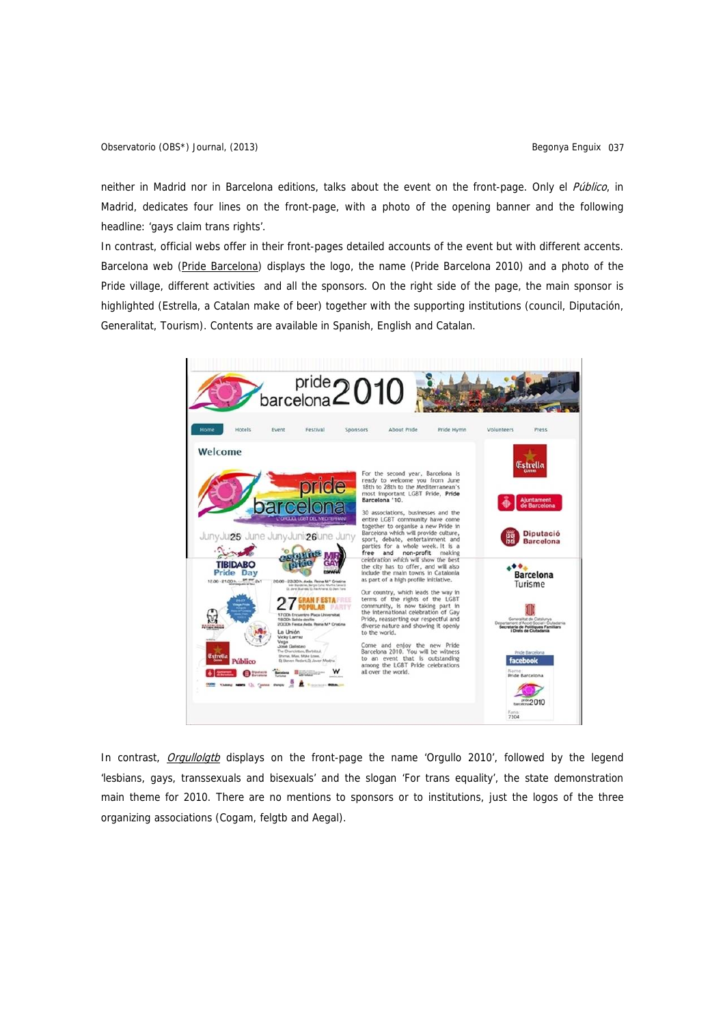neither in Madrid nor in Barcelona editions, talks about the event on the front-page. Only el Público, in Madrid, dedicates four lines on the front-page, with a photo of the opening banner and the following headline: 'gays claim trans rights'.

In contrast, official webs offer in their front-pages detailed accounts of the event but with different accents. Barcelona web [\(Pride Barcelona](http://www.pridebarcelona.org/es/)) displays the logo, the name (Pride Barcelona 2010) and a photo of the Pride village, different activities and all the sponsors. On the right side of the page, the main sponsor is highlighted (Estrella, a Catalan make of beer) together with the supporting institutions (council, Diputación, Generalitat, Tourism). Contents are available in Spanish, English and Catalan.



In contrast, [Orgullolgtb](http://orgullolgtb.org/) displays on the front-page the name 'Orgullo 2010', followed by the legend 'lesbians, gays, transsexuals and bisexuals' and the slogan 'For trans equality', the state demonstration main theme for 2010. There are no mentions to sponsors or to institutions, just the logos of the three organizing associations (Cogam, felgtb and Aegal).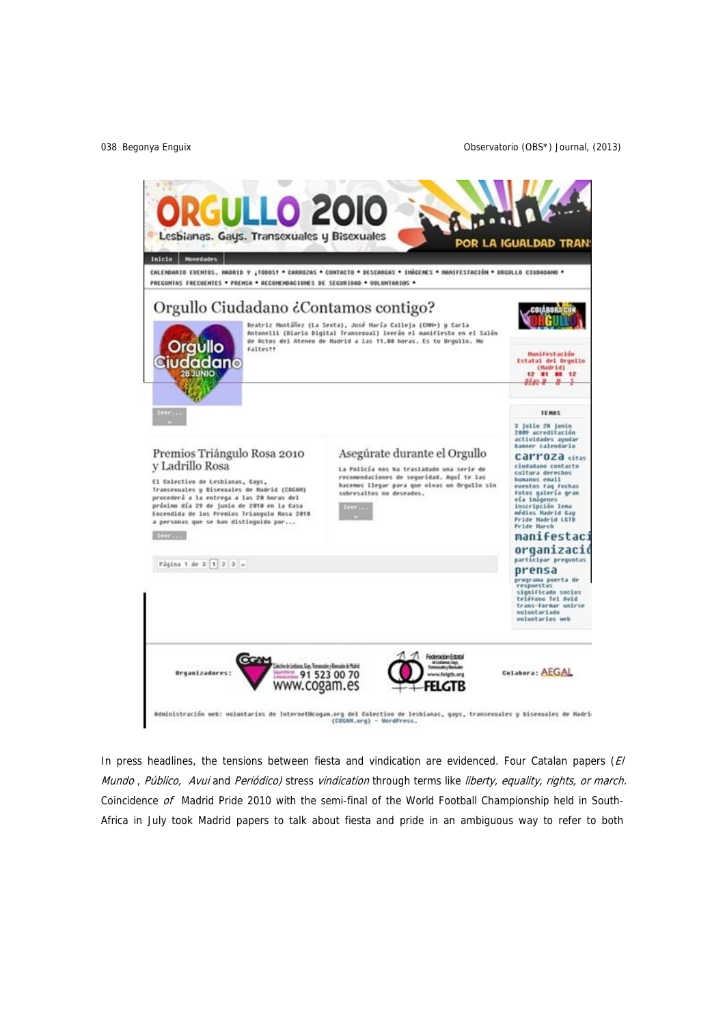

In press headlines, the tensions between fiesta and vindication are evidenced. Four Catalan papers  $(E)$ Mundo, Público, Avui and Periódico) stress vindication through terms like liberty, equality, rights, or march. Coincidence of Madrid Pride 2010 with the semi-final of the World Football Championship held in South-Africa in July took Madrid papers to talk about fiesta and pride in an ambiguous way to refer to both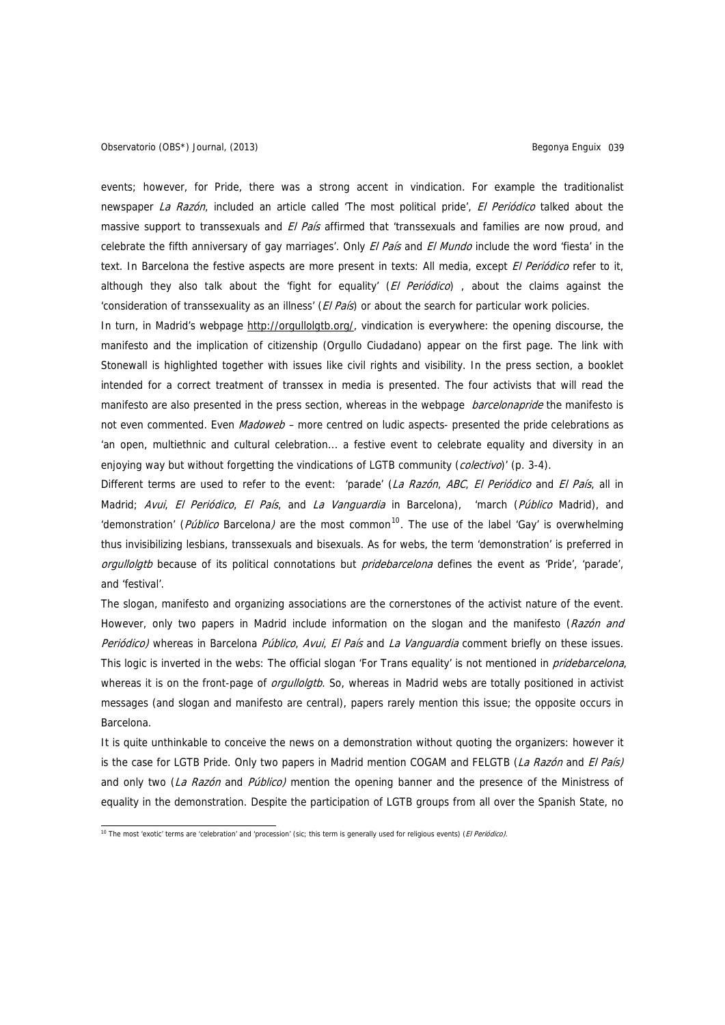events; however, for Pride, there was a strong accent in vindication. For example the traditionalist newspaper La Razón, included an article called 'The most political pride', El Periódico talked about the massive support to transsexuals and El País affirmed that 'transsexuals and families are now proud, and celebrate the fifth anniversary of gay marriages'. Only El País and El Mundo include the word 'fiesta' in the text. In Barcelona the festive aspects are more present in texts: All media, except El Periódico refer to it, although they also talk about the 'fight for equality' (El Periódico), about the claims against the 'consideration of transsexuality as an illness' (El País) or about the search for particular work policies.

In turn, in Madrid's webpage [http://orgullolgtb.org/,](http://orgullolgtb.org/) vindication is everywhere: the opening discourse, the manifesto and the implication of citizenship (Orgullo Ciudadano) appear on the first page. The link with Stonewall is highlighted together with issues like civil rights and visibility. In the press section, a booklet intended for a correct treatment of transsex in media is presented. The four activists that will read the manifesto are also presented in the press section, whereas in the webpage *barcelonapride* the manifesto is not even commented. Even Madoweb – more centred on ludic aspects- presented the pride celebrations as 'an open, multiethnic and cultural celebration... a festive event to celebrate equality and diversity in an enjoying way but without forgetting the vindications of LGTB community (colectivo)' (p. 3-4).

Different terms are used to refer to the event: 'parade' (La Razón, ABC, El Periódico and El País, all in Madrid; Avui, El Periódico, El País, and La Vanguardia in Barcelona), 'march (Público Madrid), and 'demonstration' (*Público* Barcelona) are the most common<sup>[10](#page-6-0)</sup>. The use of the label 'Gay' is overwhelming thus invisibilizing lesbians, transsexuals and bisexuals. As for webs, the term 'demonstration' is preferred in orgullolatb because of its political connotations but *pridebarcelona* defines the event as 'Pride', 'parade', and 'festival'.

The slogan, manifesto and organizing associations are the cornerstones of the activist nature of the event. However, only two papers in Madrid include information on the slogan and the manifesto (Razón and Periódico) whereas in Barcelona Público, Avui, El País and La Vanguardia comment briefly on these issues. This logic is inverted in the webs: The official slogan 'For Trans equality' is not mentioned in *pridebarcelona*, whereas it is on the front-page of *orgullolgtb*. So, whereas in Madrid webs are totally positioned in activist messages (and slogan and manifesto are central), papers rarely mention this issue; the opposite occurs in Barcelona.

It is quite unthinkable to conceive the news on a demonstration without quoting the organizers: however it is the case for LGTB Pride. Only two papers in Madrid mention COGAM and FELGTB (La Razón and El País) and only two (La Razón and Público) mention the opening banner and the presence of the Ministress of equality in the demonstration. Despite the participation of LGTB groups from all over the Spanish State, no

<span id="page-6-0"></span><sup>10</sup> The most 'exotic' terms are 'celebration' and 'procession' (sic; this term is generally used for religious events) (*El Periódico*).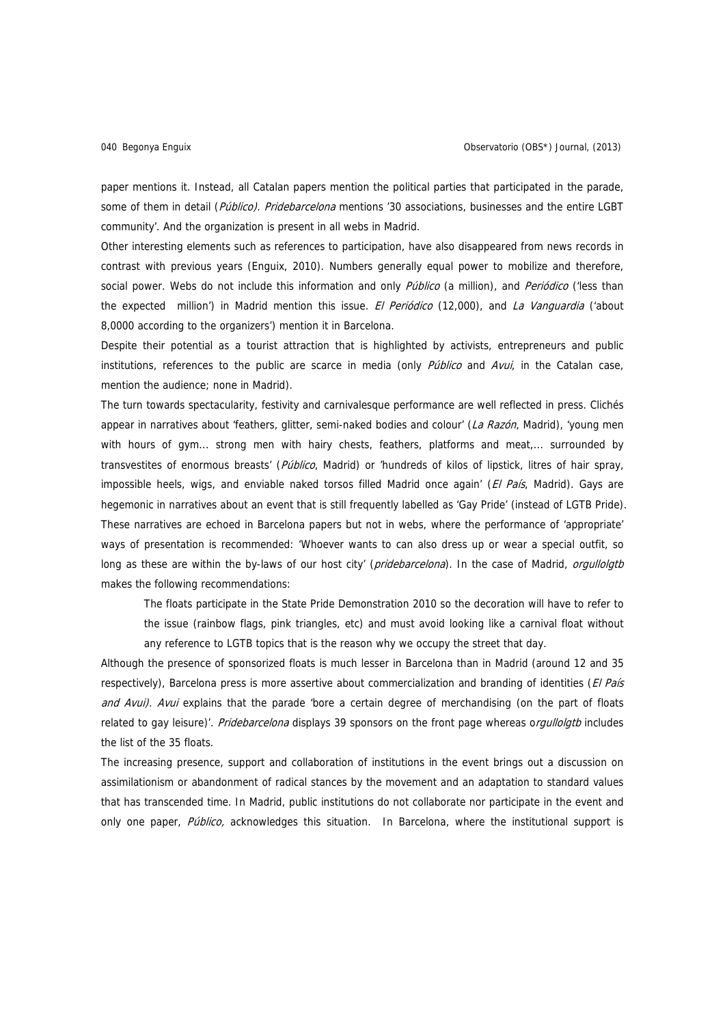paper mentions it. Instead, all Catalan papers mention the political parties that participated in the parade, some of them in detail (Público). Pridebarcelona mentions '30 associations, businesses and the entire LGBT community'. And the organization is present in all webs in Madrid.

Other interesting elements such as references to participation, have also disappeared from news records in contrast with previous years (Enguix, 2010). Numbers generally equal power to mobilize and therefore, social power. Webs do not include this information and only Público (a million), and Periódico ('less than the expected million') in Madrid mention this issue. El Periódico (12,000), and La Vanguardia ('about 8,0000 according to the organizers') mention it in Barcelona.

Despite their potential as a tourist attraction that is highlighted by activists, entrepreneurs and public institutions, references to the public are scarce in media (only *Público* and *Avui*, in the Catalan case, mention the audience; none in Madrid).

The turn towards spectacularity, festivity and carnivalesque performance are well reflected in press. Clichés appear in narratives about 'feathers, glitter, semi-naked bodies and colour' (La Razón, Madrid), 'young men with hours of gym... strong men with hairy chests, feathers, platforms and meat,... surrounded by transvestites of enormous breasts' (Público, Madrid) or 'hundreds of kilos of lipstick, litres of hair spray, impossible heels, wigs, and enviable naked torsos filled Madrid once again' (El País, Madrid). Gays are hegemonic in narratives about an event that is still frequently labelled as 'Gay Pride' (instead of LGTB Pride). These narratives are echoed in Barcelona papers but not in webs, where the performance of 'appropriate' ways of presentation is recommended: 'Whoever wants to can also dress up or wear a special outfit, so long as these are within the by-laws of our host city' (pridebarcelona). In the case of Madrid, orgullolgtb makes the following recommendations:

The floats participate in the State Pride Demonstration 2010 so the decoration will have to refer to the issue (rainbow flags, pink triangles, etc) and must avoid looking like a carnival float without any reference to LGTB topics that is the reason why we occupy the street that day.

Although the presence of sponsorized floats is much lesser in Barcelona than in Madrid (around 12 and 35 respectively), Barcelona press is more assertive about commercialization and branding of identities (El País and Avui). Avui explains that the parade 'bore a certain degree of merchandising (on the part of floats related to gay leisure)'. Pridebarcelona displays 39 sponsors on the front page whereas orgullolgtb includes the list of the 35 floats.

The increasing presence, support and collaboration of institutions in the event brings out a discussion on assimilationism or abandonment of radical stances by the movement and an adaptation to standard values that has transcended time. In Madrid, public institutions do not collaborate nor participate in the event and only one paper, Público, acknowledges this situation. In Barcelona, where the institutional support is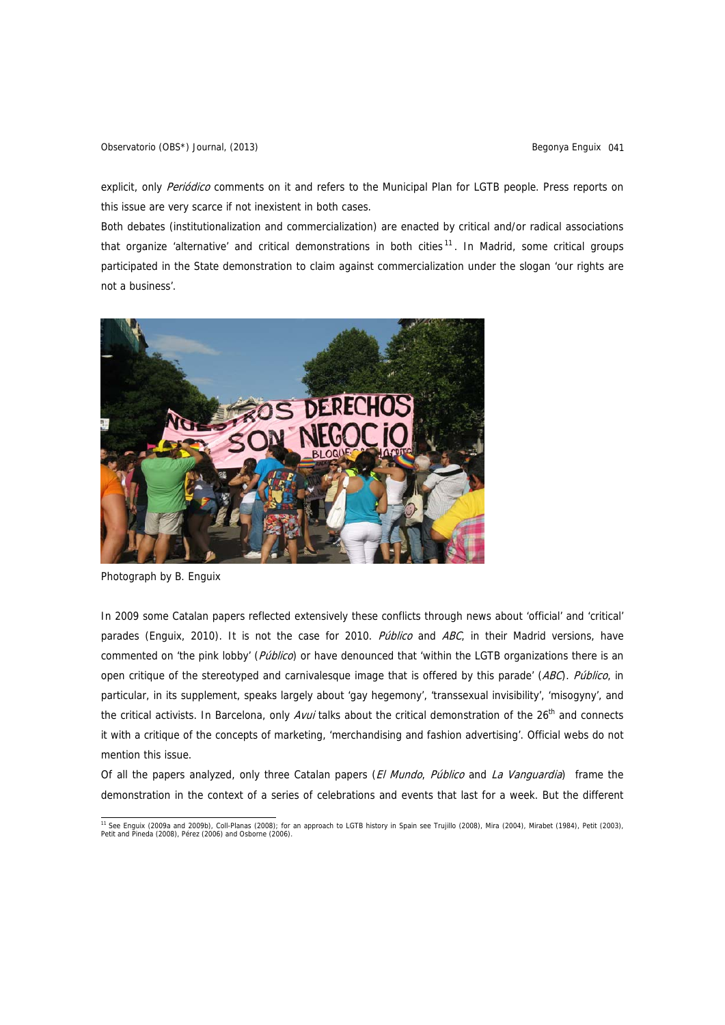explicit, only Periódico comments on it and refers to the Municipal Plan for LGTB people. Press reports on this issue are very scarce if not inexistent in both cases.

Both debates (institutionalization and commercialization) are enacted by critical and/or radical associations that organize 'alternative' and critical demonstrations in both cities<sup>[11](#page-8-0)</sup>. In Madrid, some critical groups participated in the State demonstration to claim against commercialization under the slogan 'our rights are not a business'.



Photograph by B. Enguix

In 2009 some Catalan papers reflected extensively these conflicts through news about 'official' and 'critical' parades (Enguix, 2010). It is not the case for 2010. Público and ABC, in their Madrid versions, have commented on 'the pink lobby' (Público) or have denounced that 'within the LGTB organizations there is an open critique of the stereotyped and carnivalesque image that is offered by this parade' (ABC). Público, in particular, in its supplement, speaks largely about 'gay hegemony', 'transsexual invisibility', 'misogyny', and the critical activists. In Barcelona, only Avui talks about the critical demonstration of the  $26<sup>th</sup>$  and connects it with a critique of the concepts of marketing, 'merchandising and fashion advertising'. Official webs do not mention this issue.

Of all the papers analyzed, only three Catalan papers (El Mundo, Público and La Vanguardia) frame the demonstration in the context of a series of celebrations and events that last for a week. But the different

<span id="page-8-0"></span><sup>&</sup>lt;sup>11</sup> See Enguix (2009a and 2009b), Coll-Planas (2008); for an approach to LGTB history in Spain see Trujillo (2008), Mira (2004), Mirabet (1984), Petit (2003), Petit and Pineda (2008), Pérez (2006) and Osborne (2006).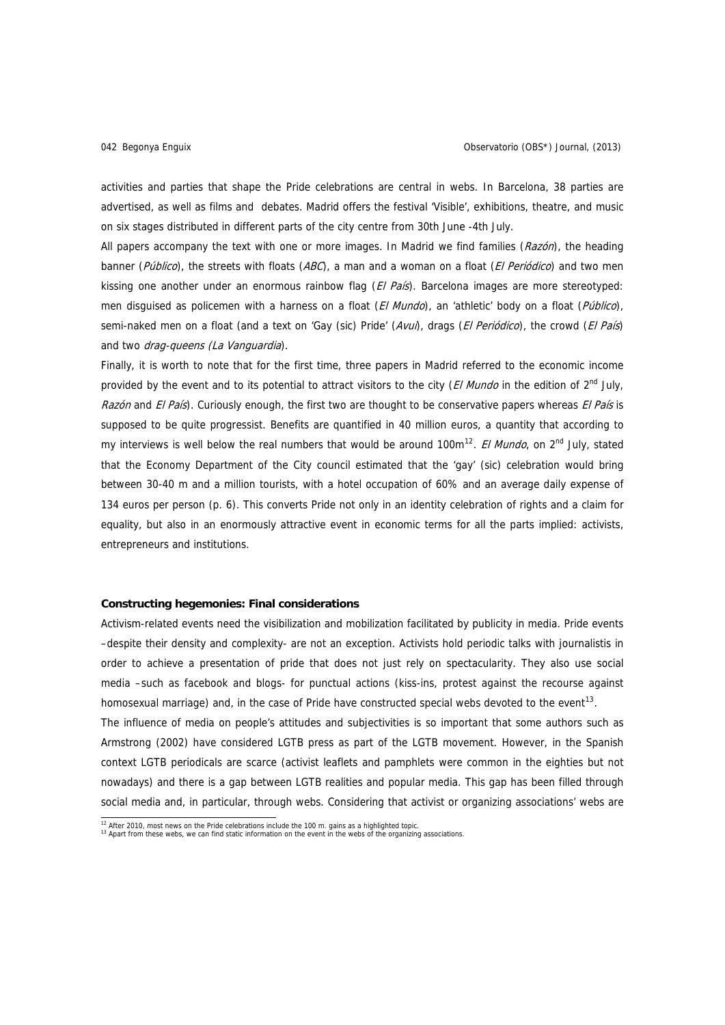activities and parties that shape the Pride celebrations are central in webs. In Barcelona, 38 parties are advertised, as well as films and debates. Madrid offers the festival 'Visible', exhibitions, theatre, and music on six stages distributed in different parts of the city centre from 30th June -4th July.

All papers accompany the text with one or more images. In Madrid we find families  $(Razón)$ , the heading banner (Público), the streets with floats (ABC), a man and a woman on a float (El Periódico) and two men kissing one another under an enormous rainbow flag  $(EI \text{ Pafs})$ . Barcelona images are more stereotyped: men disquised as policemen with a harness on a float (El Mundo), an 'athletic' body on a float (Público), semi-naked men on a float (and a text on 'Gay (sic) Pride' (Avui), drags (El Periódico), the crowd (El País) and two *drag-queens (La Vanguardia*).

Finally, it is worth to note that for the first time, three papers in Madrid referred to the economic income provided by the event and to its potential to attract visitors to the city (El Mundo in the edition of 2<sup>nd</sup> July, Razón and El País). Curiously enough, the first two are thought to be conservative papers whereas El País is supposed to be quite progressist. Benefits are quantified in 40 million euros, a quantity that according to my interviews is well below the real numbers that would be around 100 $m^{12}$  $m^{12}$  $m^{12}$ . *El Mundo*, on 2<sup>nd</sup> July, stated that the Economy Department of the City council estimated that the 'gay' (sic) celebration would bring between 30-40 m and a million tourists, with a hotel occupation of 60% and an average daily expense of 134 euros per person (p. 6). This converts Pride not only in an identity celebration of rights and a claim for equality, but also in an enormously attractive event in economic terms for all the parts implied: activists, entrepreneurs and institutions.

### **Constructing hegemonies: Final considerations**

Activism-related events need the visibilization and mobilization facilitated by publicity in media. Pride events –despite their density and complexity- are not an exception. Activists hold periodic talks with journalistis in order to achieve a presentation of pride that does not just rely on spectacularity. They also use social media –such as facebook and blogs- for punctual actions (kiss-ins, protest against the recourse against homosexual marriage) and, in the case of Pride have constructed special webs devoted to the event<sup>[13](#page-9-1)</sup>. The influence of media on people's attitudes and subjectivities is so important that some authors such as Armstrong (2002) have considered LGTB press as part of the LGTB movement. However, in the Spanish context LGTB periodicals are scarce (activist leaflets and pamphlets were common in the eighties but not nowadays) and there is a gap between LGTB realities and popular media. This gap has been filled through social media and, in particular, through webs. Considering that activist or organizing associations' webs are

 $12$  After 2010, most news on the Pride celebrations include the 100 m. gains as a highlighted topic.

<span id="page-9-1"></span><span id="page-9-0"></span><sup>13</sup> Apart from these webs, we can find static information on the event in the webs of the organizing associations.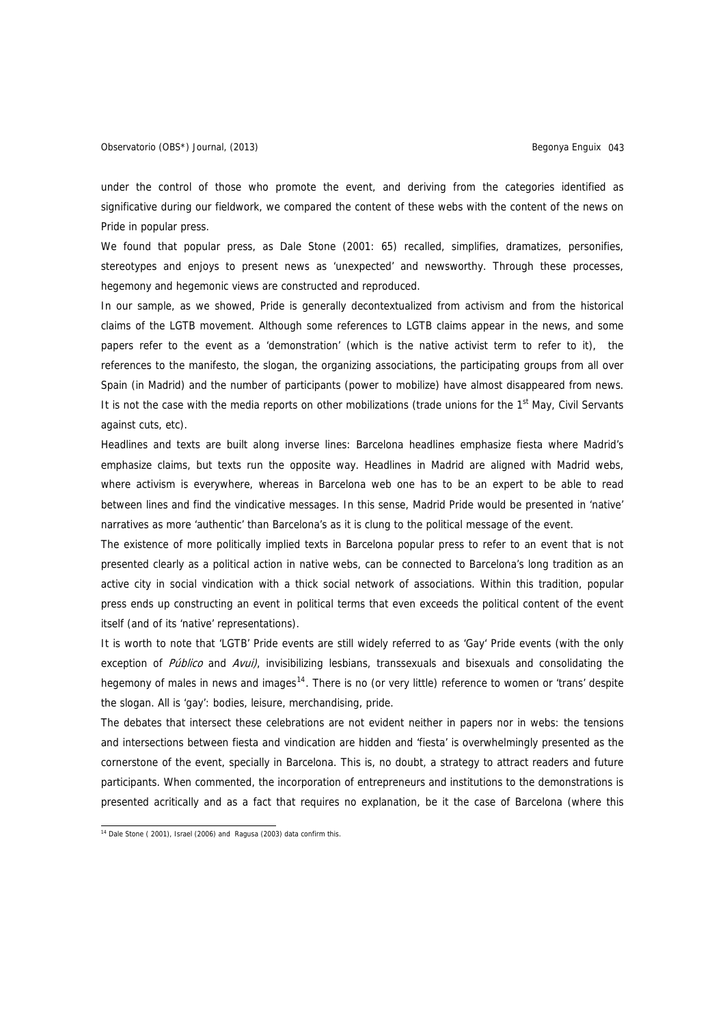under the control of those who promote the event, and deriving from the categories identified as significative during our fieldwork, we compared the content of these webs with the content of the news on Pride in popular press.

We found that popular press, as Dale Stone (2001: 65) recalled, simplifies, dramatizes, personifies, stereotypes and enjoys to present news as 'unexpected' and newsworthy. Through these processes, hegemony and hegemonic views are constructed and reproduced.

In our sample, as we showed, Pride is generally decontextualized from activism and from the historical claims of the LGTB movement. Although some references to LGTB claims appear in the news, and some papers refer to the event as a 'demonstration' (which is the native activist term to refer to it), the references to the manifesto, the slogan, the organizing associations, the participating groups from all over Spain (in Madrid) and the number of participants (power to mobilize) have almost disappeared from news. It is not the case with the media reports on other mobilizations (trade unions for the  $1<sup>st</sup>$  May, Civil Servants against cuts, etc).

Headlines and texts are built along inverse lines: Barcelona headlines emphasize fiesta where Madrid's emphasize claims, but texts run the opposite way. Headlines in Madrid are aligned with Madrid webs, where activism is everywhere, whereas in Barcelona web one has to be an expert to be able to read between lines and find the vindicative messages. In this sense, Madrid Pride would be presented in 'native' narratives as more 'authentic' than Barcelona's as it is clung to the political message of the event.

The existence of more politically implied texts in Barcelona popular press to refer to an event that is not presented clearly as a political action in native webs, can be connected to Barcelona's long tradition as an active city in social vindication with a thick social network of associations. Within this tradition, popular press ends up constructing an event in political terms that even exceeds the political content of the event itself (and of its 'native' representations).

It is worth to note that 'LGTB' Pride events are still widely referred to as 'Gay' Pride events (with the only exception of Público and Avui), invisibilizing lesbians, transsexuals and bisexuals and consolidating the hegemony of males in news and images<sup>[14](#page-10-0)</sup>. There is no (or very little) reference to women or 'trans' despite the slogan. All is 'gay': bodies, leisure, merchandising, pride.

The debates that intersect these celebrations are not evident neither in papers nor in webs: the tensions and intersections between fiesta and vindication are hidden and 'fiesta' is overwhelmingly presented as the cornerstone of the event, specially in Barcelona. This is, no doubt, a strategy to attract readers and future participants. When commented, the incorporation of entrepreneurs and institutions to the demonstrations is presented acritically and as a fact that requires no explanation, be it the case of Barcelona (where this

<span id="page-10-0"></span> $14$  Dale Stone ( 2001), Israel (2006) and Ragusa (2003) data confirm this.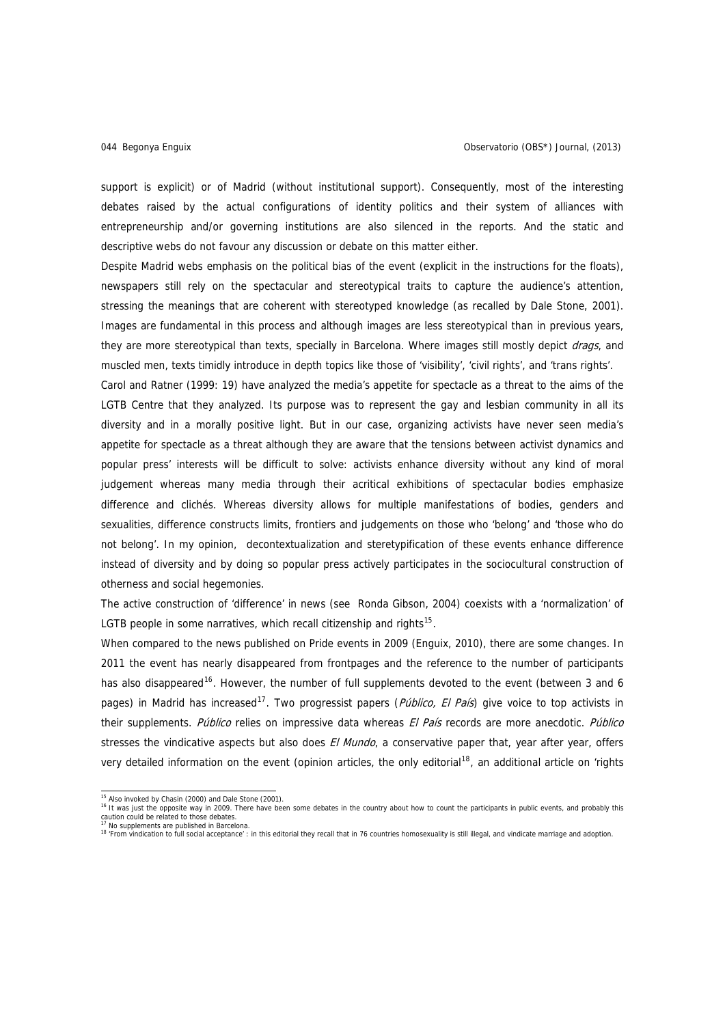support is explicit) or of Madrid (without institutional support). Consequently, most of the interesting debates raised by the actual configurations of identity politics and their system of alliances with entrepreneurship and/or governing institutions are also silenced in the reports. And the static and descriptive webs do not favour any discussion or debate on this matter either.

Despite Madrid webs emphasis on the political bias of the event (explicit in the instructions for the floats), newspapers still rely on the spectacular and stereotypical traits to capture the audience's attention, stressing the meanings that are coherent with stereotyped knowledge (as recalled by Dale Stone, 2001). Images are fundamental in this process and although images are less stereotypical than in previous years, they are more stereotypical than texts, specially in Barcelona. Where images still mostly depict drags, and muscled men, texts timidly introduce in depth topics like those of 'visibility', 'civil rights', and 'trans rights'.

Carol and Ratner (1999: 19) have analyzed the media's appetite for spectacle as a threat to the aims of the LGTB Centre that they analyzed. Its purpose was to represent the gay and lesbian community in all its diversity and in a morally positive light. But in our case, organizing activists have never seen media's appetite for spectacle as a threat although they are aware that the tensions between activist dynamics and popular press' interests will be difficult to solve: activists enhance diversity without any kind of moral judgement whereas many media through their acritical exhibitions of spectacular bodies emphasize difference and clichés. Whereas diversity allows for multiple manifestations of bodies, genders and sexualities, difference constructs limits, frontiers and judgements on those who 'belong' and 'those who do not belong'. In my opinion, decontextualization and steretypification of these events enhance difference instead of diversity and by doing so popular press actively participates in the sociocultural construction of otherness and social hegemonies.

The active construction of 'difference' in news (see Ronda Gibson, 2004) coexists with a 'normalization' of LGTB people in some narratives, which recall citizenship and rights<sup>[15](#page-11-0)</sup>.

When compared to the news published on Pride events in 2009 (Enguix, 2010), there are some changes. In 2011 the event has nearly disappeared from frontpages and the reference to the number of participants has also disappeared<sup>[16](#page-11-1)</sup>. However, the number of full supplements devoted to the event (between 3 and 6 pages) in Madrid has increased<sup>[17](#page-11-2)</sup>. Two progressist papers (*Público, El País*) give voice to top activists in their supplements. Público relies on impressive data whereas El País records are more anecdotic. Público stresses the vindicative aspects but also does *El Mundo*, a conservative paper that, year after year, offers very detailed information on the event (opinion articles, the only editorial<sup>[18](#page-11-3)</sup>, an additional article on 'rights

 $15$  Also invoked by Chasin (2000) and Dale Stone (2001).

<span id="page-11-1"></span><span id="page-11-0"></span><sup>16</sup> It was just the opposite way in 2009. There have been some debates in the country about how to count the participants in public events, and probably this caution could be related to those debates. 17 No supplements are published in Barcelona.

<span id="page-11-3"></span><span id="page-11-2"></span><sup>&</sup>lt;sup>18</sup> 'From vindication to full social acceptance' : in this editorial they recall that in 76 countries homosexuality is still illegal, and vindicate marriage and adoption.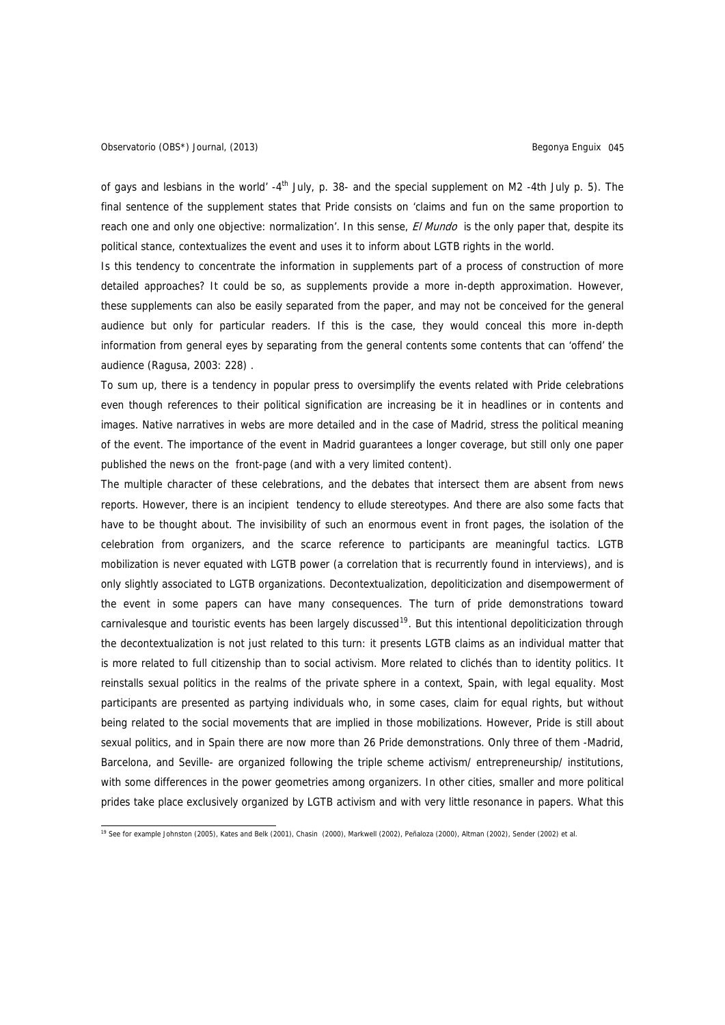of gays and lesbians in the world'  $-4<sup>th</sup>$  July, p. 38- and the special supplement on M2 -4th July p. 5). The final sentence of the supplement states that Pride consists on 'claims and fun on the same proportion to reach one and only one objective: normalization'. In this sense, *El Mundo* is the only paper that, despite its political stance, contextualizes the event and uses it to inform about LGTB rights in the world.

Is this tendency to concentrate the information in supplements part of a process of construction of more detailed approaches? It could be so, as supplements provide a more in-depth approximation. However, these supplements can also be easily separated from the paper, and may not be conceived for the general audience but only for particular readers. If this is the case, they would conceal this more in-depth information from general eyes by separating from the general contents some contents that can 'offend' the audience (Ragusa, 2003: 228) .

To sum up, there is a tendency in popular press to oversimplify the events related with Pride celebrations even though references to their political signification are increasing be it in headlines or in contents and images. Native narratives in webs are more detailed and in the case of Madrid, stress the political meaning of the event. The importance of the event in Madrid guarantees a longer coverage, but still only one paper published the news on the front-page (and with a very limited content).

The multiple character of these celebrations, and the debates that intersect them are absent from news reports. However, there is an incipient tendency to ellude stereotypes. And there are also some facts that have to be thought about. The invisibility of such an enormous event in front pages, the isolation of the celebration from organizers, and the scarce reference to participants are meaningful tactics. LGTB mobilization is never equated with LGTB power (a correlation that is recurrently found in interviews), and is only slightly associated to LGTB organizations. Decontextualization, depoliticization and disempowerment of the event in some papers can have many consequences. The turn of pride demonstrations toward carnivalesque and touristic events has been largely discussed<sup>[19](#page-12-0)</sup>. But this intentional depoliticization through the decontextualization is not just related to this turn: it presents LGTB claims as an individual matter that is more related to full citizenship than to social activism. More related to clichés than to identity politics. It reinstalls sexual politics in the realms of the private sphere in a context, Spain, with legal equality. Most participants are presented as partying individuals who, in some cases, claim for equal rights, but without being related to the social movements that are implied in those mobilizations. However, Pride is still about sexual politics, and in Spain there are now more than 26 Pride demonstrations. Only three of them -Madrid, Barcelona, and Seville- are organized following the triple scheme activism/ entrepreneurship/ institutions, with some differences in the power geometries among organizers. In other cities, smaller and more political prides take place exclusively organized by LGTB activism and with very little resonance in papers. What this

<span id="page-12-0"></span> 19 See for example Johnston (2005), Kates and Belk (2001), Chasin (2000), Markwell (2002), Peñaloza (2000), Altman (2002), Sender (2002) et al.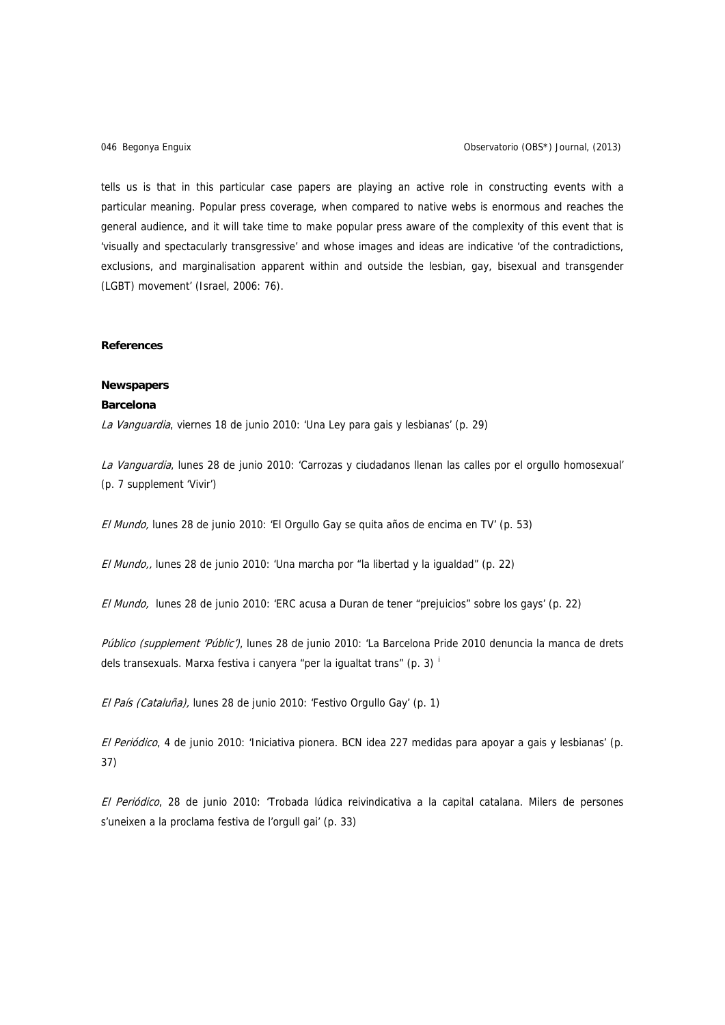tells us is that in this particular case papers are playing an active role in constructing events with a particular meaning. Popular press coverage, when compared to native webs is enormous and reaches the general audience, and it will take time to make popular press aware of the complexity of this event that is 'visually and spectacularly transgressive' and whose images and ideas are indicative 'of the contradictions, exclusions, and marginalisation apparent within and outside the lesbian, gay, bisexual and transgender (LGBT) movement' (Israel, 2006: 76).

## **References**

## **Newspapers**

# **Barcelona**

La Vanguardia, viernes 18 de junio 2010: 'Una Ley para gais y lesbianas' (p. 29)

La Vanguardia, lunes 28 de junio 2010: 'Carrozas y ciudadanos llenan las calles por el orgullo homosexual' (p. 7 supplement 'Vivir')

El Mundo, lunes 28 de junio 2010: 'El Orgullo Gay se quita años de encima en TV' (p. 53)

El Mundo,, lunes 28 de junio 2010: 'Una marcha por "la libertad y la igualdad" (p. 22)

El Mundo, lunes 28 de junio 2010: 'ERC acusa a Duran de tener "prejuicios" sobre los gays' (p. 22)

Público (supplement 'Públic'), lunes 28 de junio 2010: 'La Barcelona Pride 2010 denuncia la manca de drets dels transexuals. Marxa festiva i canyera "per la igualtat trans" (p. 3)  $\frac{1}{2}$ 

El País (Cataluña), lunes 28 de junio 2010: 'Festivo Orgullo Gay' (p. 1)

El Periódico, 4 de junio 2010: 'Iniciativa pionera. BCN idea 227 medidas para apoyar a gais y lesbianas' (p. 37)

El Periódico, 28 de junio 2010: 'Trobada lúdica reivindicativa a la capital catalana. Milers de persones s'uneixen a la proclama festiva de l'orgull gai' (p. 33)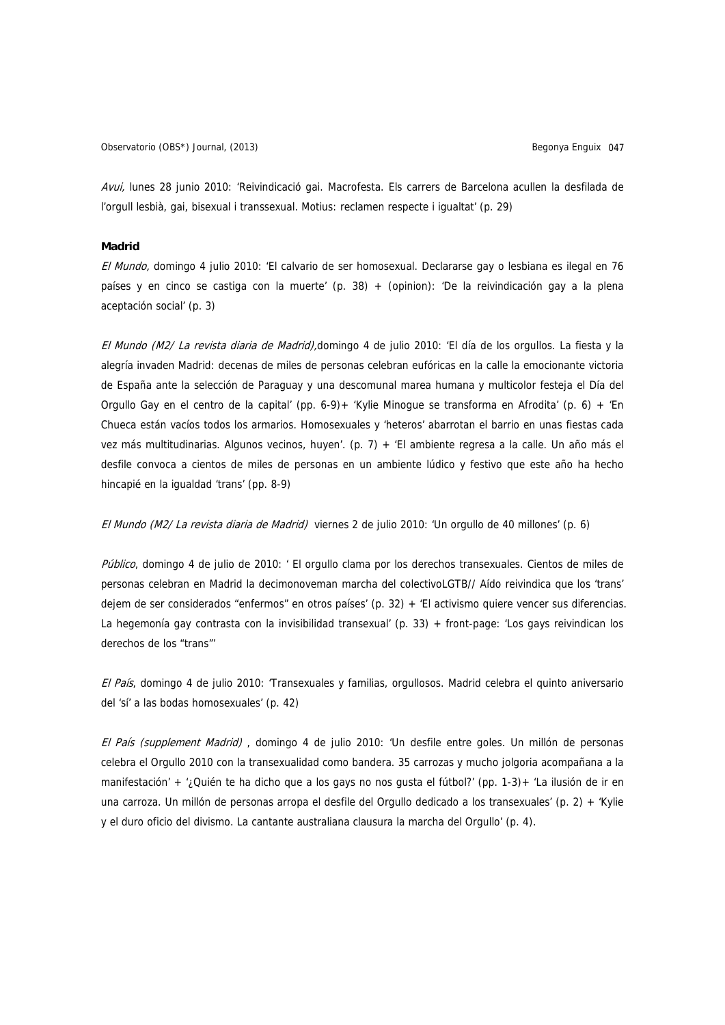Observatorio (OBS\*) Journal, (2013) Begonya Enguix 047

Avui, lunes 28 junio 2010: 'Reivindicació gai. Macrofesta. Els carrers de Barcelona acullen la desfilada de l'orgull lesbià, gai, bisexual i transsexual. Motius: reclamen respecte i igualtat' (p. 29)

## **Madrid**

El Mundo, domingo 4 julio 2010: 'El calvario de ser homosexual. Declararse gay o lesbiana es ilegal en 76 países y en cinco se castiga con la muerte' (p. 38) + (opinion): 'De la reivindicación gay a la plena aceptación social' (p. 3)

El Mundo (M2/ La revista diaria de Madrid),domingo 4 de julio 2010: 'El día de los orgullos. La fiesta y la alegría invaden Madrid: decenas de miles de personas celebran eufóricas en la calle la emocionante victoria de España ante la selección de Paraguay y una descomunal marea humana y multicolor festeja el Día del Orgullo Gay en el centro de la capital' (pp. 6-9)+ 'Kylie Minogue se transforma en Afrodita' (p. 6) + 'En Chueca están vacíos todos los armarios. Homosexuales y 'heteros' abarrotan el barrio en unas fiestas cada vez más multitudinarias. Algunos vecinos, huyen'. (p. 7) + 'El ambiente regresa a la calle. Un año más el desfile convoca a cientos de miles de personas en un ambiente lúdico y festivo que este año ha hecho hincapié en la igualdad 'trans' (pp. 8-9)

El Mundo (M2/ La revista diaria de Madrid) viernes 2 de julio 2010: 'Un orgullo de 40 millones' (p. 6)

Público, domingo 4 de julio de 2010: ' El orgullo clama por los derechos transexuales. Cientos de miles de personas celebran en Madrid la decimonoveman marcha del colectivoLGTB// Aído reivindica que los 'trans' dejem de ser considerados "enfermos" en otros países' (p. 32) + 'El activismo quiere vencer sus diferencias. La hegemonía gay contrasta con la invisibilidad transexual' (p. 33) + front-page: 'Los gays reivindican los derechos de los "trans"'

El País, domingo 4 de julio 2010: 'Transexuales y familias, orgullosos. Madrid celebra el quinto aniversario del 'sí' a las bodas homosexuales' (p. 42)

El País (supplement Madrid) , domingo 4 de julio 2010: 'Un desfile entre goles. Un millón de personas celebra el Orgullo 2010 con la transexualidad como bandera. 35 carrozas y mucho jolgoria acompañana a la manifestación' + '¿Quién te ha dicho que a los gays no nos gusta el fútbol?' (pp. 1-3)+ 'La ilusión de ir en una carroza. Un millón de personas arropa el desfile del Orgullo dedicado a los transexuales' (p. 2) + 'Kylie y el duro oficio del divismo. La cantante australiana clausura la marcha del Orgullo' (p. 4).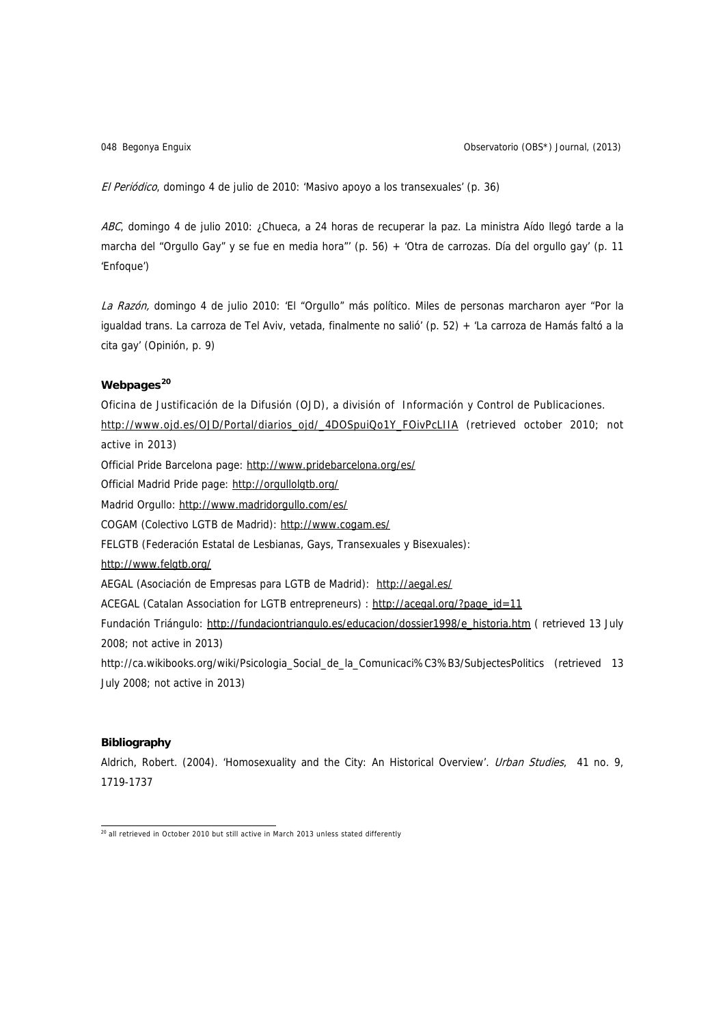048 Begonya Enguix Observatorio (OBS\*) Journal, (2013)

El Periódico, domingo 4 de julio de 2010: 'Masivo apoyo a los transexuales' (p. 36)

ABC, domingo 4 de julio 2010: ¿Chueca, a 24 horas de recuperar la paz. La ministra Aído llegó tarde a la marcha del "Orgullo Gay" y se fue en media hora"' (p. 56) + 'Otra de carrozas. Día del orgullo gay' (p. 11 'Enfoque')

La Razón, domingo 4 de julio 2010: 'El "Orgullo" más político. Miles de personas marcharon ayer "Por la igualdad trans. La carroza de Tel Aviv, vetada, finalmente no salió' (p. 52) + 'La carroza de Hamás faltó a la cita gay' (Opinión, p. 9)

# **Webpages[20](#page-15-0)**

Oficina de Justificación de la Difusión (OJD), a división of Información y Control de Publicaciones. [http://www.ojd.es/OJD/Portal/diarios\\_ojd/\\_4DOSpuiQo1Y\\_FOivPcLIIA](http://www.ojd.es/OJD/Portal/diarios_ojd/_4DOSpuiQo1Y_FOivPcLIIA) (retrieved october 2010; not active in 2013) Official Pride Barcelona page: <http://www.pridebarcelona.org/es/> Official Madrid Pride page: <http://orgullolgtb.org/> Madrid Orgullo:<http://www.madridorgullo.com/es/> COGAM (Colectivo LGTB de Madrid): <http://www.cogam.es/> FELGTB (Federación Estatal de Lesbianas, Gays, Transexuales y Bisexuales): <http://www.felgtb.org/> AEGAL (Asociación de Empresas para LGTB de Madrid): <http://aegal.es/> ACEGAL (Catalan Association for LGTB entrepreneurs) : [http://acegal.org/?page\\_id=11](http://acegal.org/?page_id=11) Fundación Triángulo: [http://fundaciontriangulo.es/educacion/dossier1998/e\\_historia.htm](http://fundaciontriangulo.es/educacion/dossier1998/e_historia.htm) ( retrieved 13 July 2008; not active in 2013) http://ca.wikibooks.org/wiki/Psicologia\_Social\_de\_la\_Comunicaci%C3%B3/SubjectesPolitics (retrieved 13 July 2008; not active in 2013)

# **Bibliography**

Aldrich, Robert. (2004). 'Homosexuality and the City: An Historical Overview'. Urban Studies, 41 no. 9, 1719-1737

<span id="page-15-0"></span> $20$  all retrieved in October 2010 but still active in March 2013 unless stated differently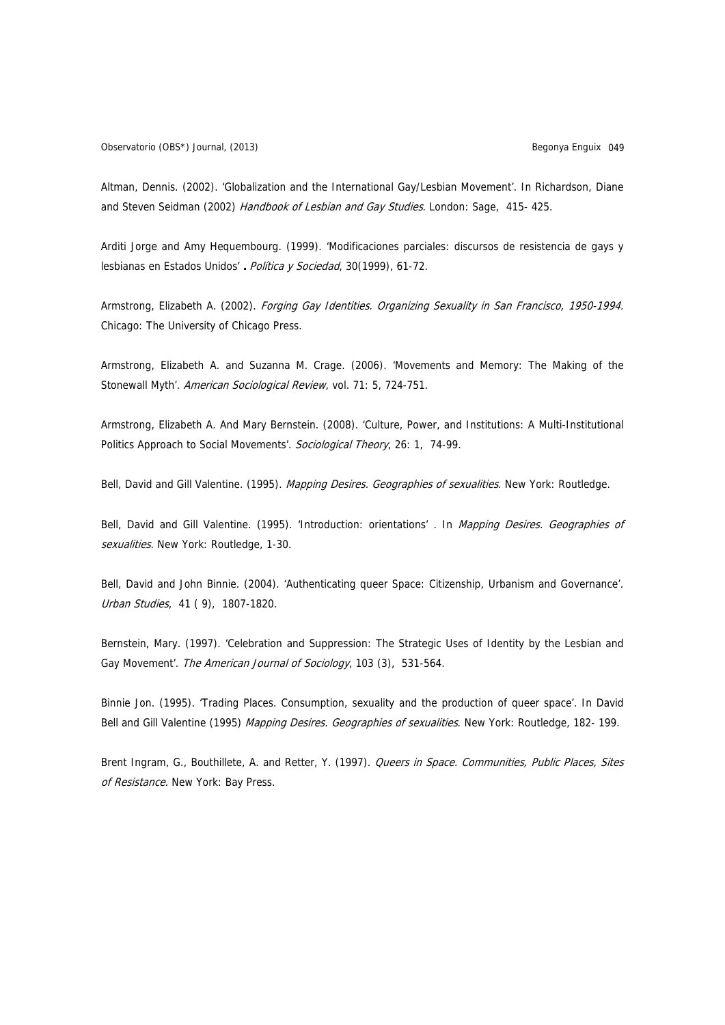Altman, Dennis. (2002). 'Globalization and the International Gay/Lesbian Movement'. In Richardson, Diane and Steven Seidman (2002) Handbook of Lesbian and Gay Studies. London: Sage, 415-425.

Arditi Jorge and Amy Hequembourg. (1999). 'Modificaciones parciales: discursos de resistencia de gays y lesbianas en Estados Unidos' **.** Política y Sociedad, 30(1999), 61-72.

Armstrong, Elizabeth A. (2002). Forging Gay Identities. Organizing Sexuality in San Francisco, 1950-1994. Chicago: The University of Chicago Press.

Armstrong, Elizabeth A. and Suzanna M. Crage. (2006). 'Movements and Memory: The Making of the Stonewall Myth'. American Sociological Review, vol. 71: 5, 724-751.

Armstrong, Elizabeth A. And Mary Bernstein. (2008). 'Culture, Power, and Institutions: A Multi-Institutional Politics Approach to Social Movements'. Sociological Theory, 26: 1, 74-99.

Bell, David and Gill Valentine. (1995). Mapping Desires. Geographies of sexualities. New York: Routledge.

Bell, David and Gill Valentine. (1995). 'Introduction: orientations' . In Mapping Desires. Geographies of sexualities. New York: Routledge, 1-30.

Bell, David and John Binnie. (2004). 'Authenticating queer Space: Citizenship, Urbanism and Governance'. Urban Studies, 41 ( 9), 1807-1820.

Bernstein, Mary. (1997). 'Celebration and Suppression: The Strategic Uses of Identity by the Lesbian and Gay Movement'. The American Journal of Sociology, 103 (3), 531-564.

Binnie Jon. (1995). 'Trading Places. Consumption, sexuality and the production of queer space'. In David Bell and Gill Valentine (1995) Mapping Desires. Geographies of sexualities. New York: Routledge, 182- 199.

Brent Ingram, G., Bouthillete, A. and Retter, Y. (1997). Queers in Space. Communities, Public Places, Sites of Resistance. New York: Bay Press.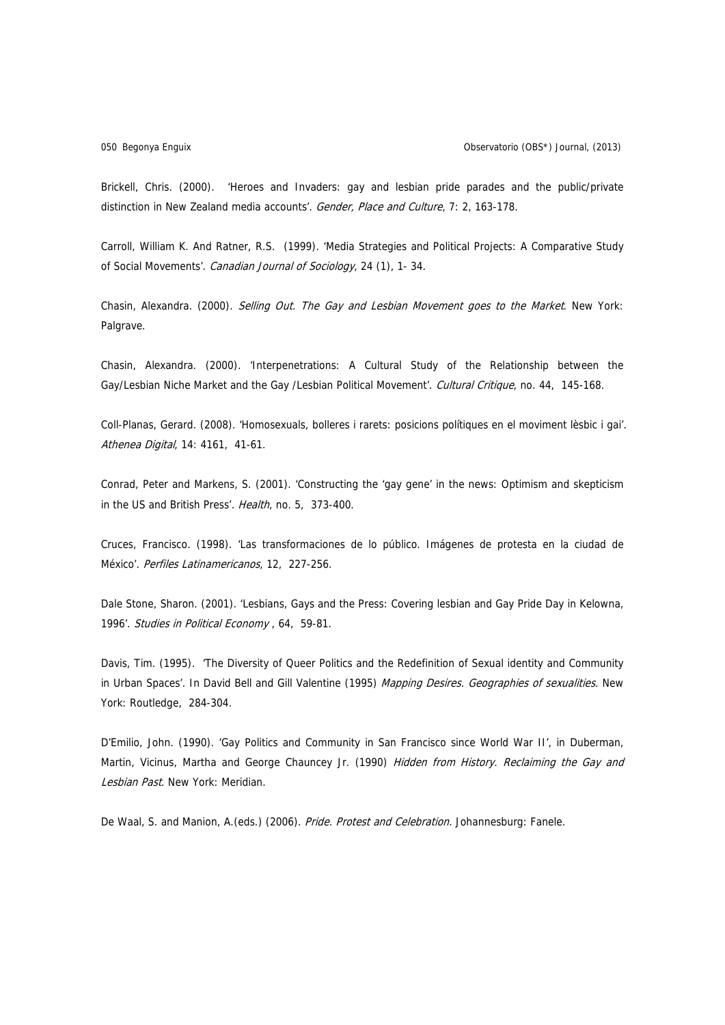Brickell, Chris. (2000). 'Heroes and Invaders: gay and lesbian pride parades and the public/private distinction in New Zealand media accounts'. Gender, Place and Culture, 7: 2, 163-178.

Carroll, William K. And Ratner, R.S. (1999). 'Media Strategies and Political Projects: A Comparative Study of Social Movements'. Canadian Journal of Sociology, 24 (1), 1- 34.

Chasin, Alexandra. (2000). Selling Out. The Gay and Lesbian Movement goes to the Market. New York: Palgrave.

Chasin, Alexandra. (2000). 'Interpenetrations: A Cultural Study of the Relationship between the Gay/Lesbian Niche Market and the Gay /Lesbian Political Movement'. Cultural Critique, no. 44, 145-168.

Coll-Planas, Gerard. (2008). 'Homosexuals, bolleres i rarets: posicions polítiques en el moviment lèsbic i gai'. Athenea Digital, 14: 4161, 41-61.

Conrad, Peter and Markens, S. (2001). 'Constructing the 'gay gene' in the news: Optimism and skepticism in the US and British Press'. Health, no. 5, 373-400.

Cruces, Francisco. (1998). 'Las transformaciones de lo público. Imágenes de protesta en la ciudad de México'. Perfiles Latinamericanos, 12, 227-256.

Dale Stone, Sharon. (2001). 'Lesbians, Gays and the Press: Covering lesbian and Gay Pride Day in Kelowna, 1996'. Studies in Political Economy , 64, 59-81.

Davis, Tim. (1995). 'The Diversity of Queer Politics and the Redefinition of Sexual identity and Community in Urban Spaces'. In David Bell and Gill Valentine (1995) Mapping Desires. Geographies of sexualities. New York: Routledge, 284-304.

D'Emilio, John. (1990). 'Gay Politics and Community in San Francisco since World War II', in Duberman, Martin, Vicinus, Martha and George Chauncey Jr. (1990) Hidden from History. Reclaiming the Gay and Lesbian Past. New York: Meridian.

De Waal, S. and Manion, A.(eds.) (2006). Pride. Protest and Celebration. Johannesburg: Fanele.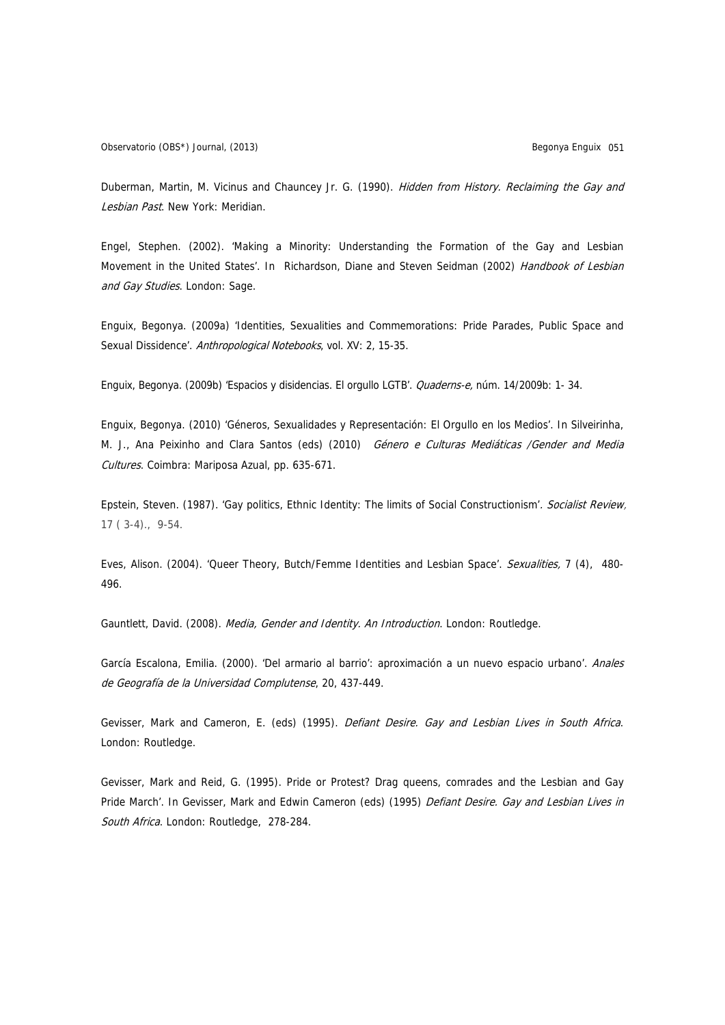Duberman, Martin, M. Vicinus and Chauncey Jr. G. (1990). Hidden from History. Reclaiming the Gay and Lesbian Past. New York: Meridian.

Engel, Stephen. (2002). 'Making a Minority: Understanding the Formation of the Gay and Lesbian Movement in the United States'. In Richardson, Diane and Steven Seidman (2002) Handbook of Lesbian and Gay Studies. London: Sage.

Enguix, Begonya. (2009a) 'Identities, Sexualities and Commemorations: Pride Parades, Public Space and Sexual Dissidence'. Anthropological Notebooks, vol. XV: 2, 15-35.

Enguix, Begonya. (2009b) 'Espacios y disidencias. El orgullo LGTB'. Quaderns-e, núm. 14/2009b: 1- 34.

Enguix, Begonya. (2010) 'Géneros, Sexualidades y Representación: El Orgullo en los Medios'. In Silveirinha, M. J., Ana Peixinho and Clara Santos (eds) (2010) Género e Culturas Mediáticas /Gender and Media Cultures. Coimbra: Mariposa Azual, pp. 635-671.

Epstein, Steven. (1987). 'Gay politics, Ethnic Identity: The limits of Social Constructionism'. Socialist Review, 17 ( 3-4)., 9-54.

Eves, Alison. (2004). 'Queer Theory, Butch/Femme Identities and Lesbian Space'. Sexualities, 7 (4), 480-496.

Gauntlett, David. (2008). Media, Gender and Identity. An Introduction. London: Routledge.

García Escalona, Emilia. (2000). 'Del armario al barrio': aproximación a un nuevo espacio urbano'. Anales de Geografía de la Universidad Complutense, 20, 437-449.

Gevisser, Mark and Cameron, E. (eds) (1995). Defiant Desire. Gay and Lesbian Lives in South Africa. London: Routledge.

Gevisser, Mark and Reid, G. (1995). Pride or Protest? Drag queens, comrades and the Lesbian and Gay Pride March'. In Gevisser, Mark and Edwin Cameron (eds) (1995) Defiant Desire. Gay and Lesbian Lives in South Africa. London: Routledge, 278-284.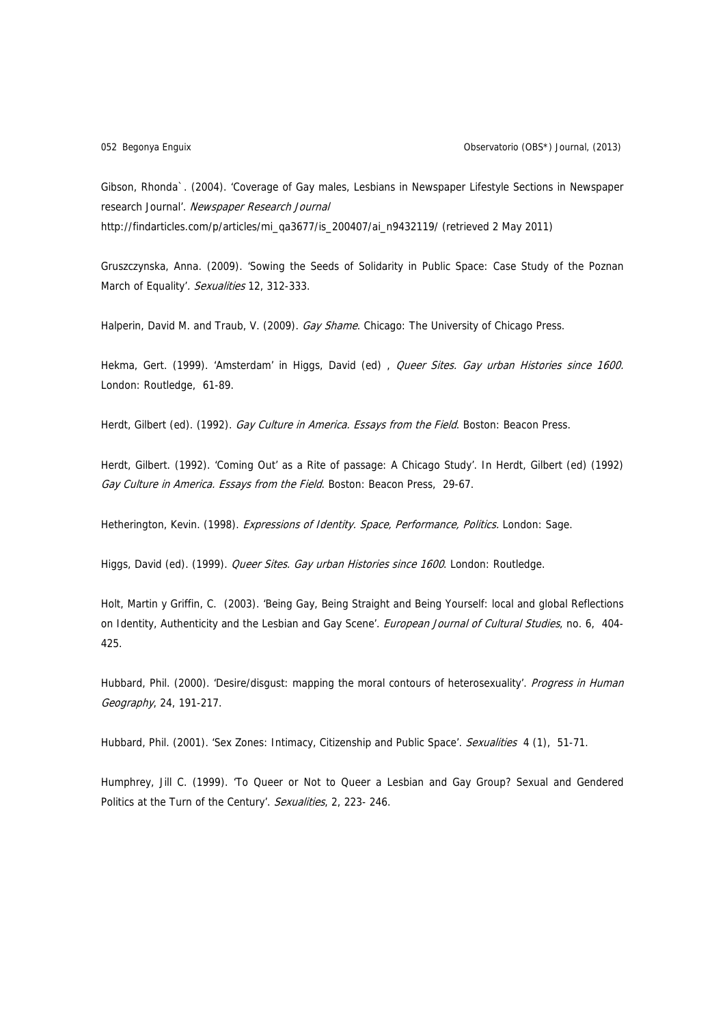Gibson, Rhonda`. (2004). 'Coverage of Gay males, Lesbians in Newspaper Lifestyle Sections in Newspaper research Journal'. Newspaper Research Journal http://findarticles.com/p/articles/mi\_qa3677/is\_200407/ai\_n9432119/ (retrieved 2 May 2011)

Gruszczynska, Anna. (2009). 'Sowing the Seeds of Solidarity in Public Space: Case Study of the Poznan March of Equality'. Sexualities 12, 312-333.

Halperin, David M. and Traub, V. (2009). Gay Shame. Chicago: The University of Chicago Press.

Hekma, Gert. (1999). 'Amsterdam' in Higgs, David (ed) , Queer Sites. Gay urban Histories since 1600. London: Routledge, 61-89.

Herdt, Gilbert (ed). (1992). Gay Culture in America. Essays from the Field. Boston: Beacon Press.

Herdt, Gilbert. (1992). 'Coming Out' as a Rite of passage: A Chicago Study'. In Herdt, Gilbert (ed) (1992) Gay Culture in America. Essays from the Field. Boston: Beacon Press, 29-67.

Hetherington, Kevin. (1998). Expressions of Identity. Space, Performance, Politics. London: Sage.

Higgs, David (ed). (1999). Queer Sites. Gay urban Histories since 1600. London: Routledge.

Holt, Martin y Griffin, C. (2003). 'Being Gay, Being Straight and Being Yourself: local and global Reflections on Identity, Authenticity and the Lesbian and Gay Scene'. European Journal of Cultural Studies, no. 6, 404-425.

Hubbard, Phil. (2000). 'Desire/disgust: mapping the moral contours of heterosexuality'. Progress in Human Geography, 24, 191-217.

Hubbard, Phil. (2001). 'Sex Zones: Intimacy, Citizenship and Public Space'. Sexualities 4 (1), 51-71.

Humphrey, Jill C. (1999). 'To Queer or Not to Queer a Lesbian and Gay Group? Sexual and Gendered Politics at the Turn of the Century'. Sexualities, 2, 223- 246.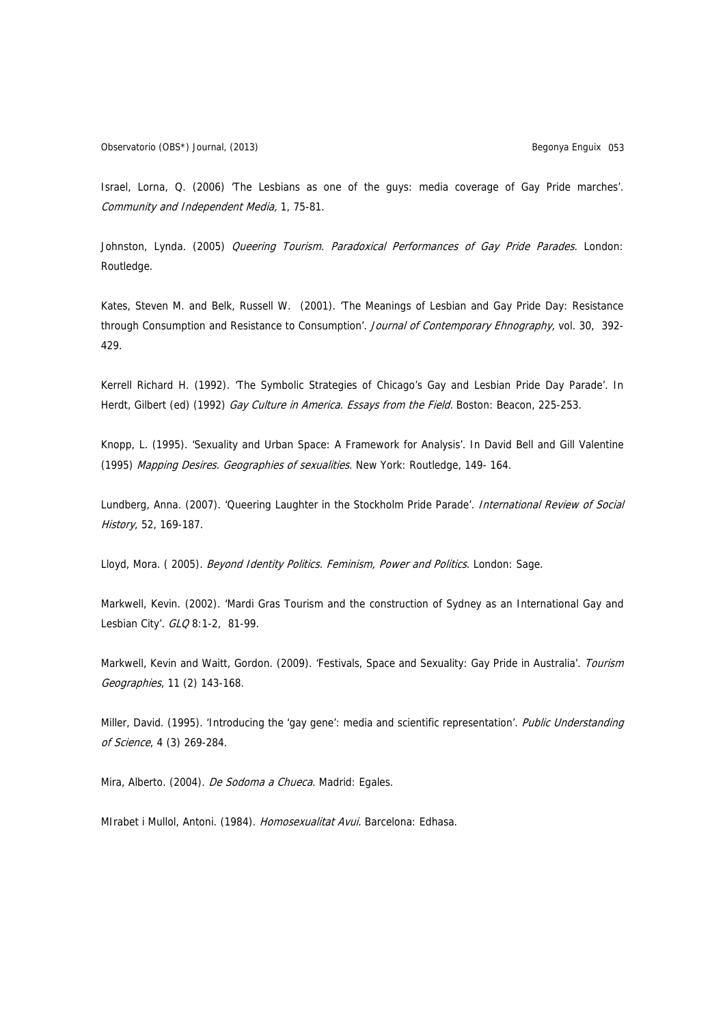Israel, Lorna, Q. (2006) 'The Lesbians as one of the guys: media coverage of Gay Pride marches'. Community and Independent Media, 1, 75-81.

Johnston, Lynda. (2005) Queering Tourism. Paradoxical Performances of Gay Pride Parades. London: Routledge.

Kates, Steven M. and Belk, Russell W. (2001). 'The Meanings of Lesbian and Gay Pride Day: Resistance through Consumption and Resistance to Consumption'. Journal of Contemporary Ehnography, vol. 30, 392-429.

Kerrell Richard H. (1992). 'The Symbolic Strategies of Chicago's Gay and Lesbian Pride Day Parade'. In Herdt, Gilbert (ed) (1992) Gay Culture in America. Essays from the Field. Boston: Beacon, 225-253.

Knopp, L. (1995). 'Sexuality and Urban Space: A Framework for Analysis'. In David Bell and Gill Valentine (1995) Mapping Desires. Geographies of sexualities. New York: Routledge, 149-164.

Lundberg, Anna. (2007). 'Queering Laughter in the Stockholm Pride Parade'. International Review of Social History, 52, 169-187.

Lloyd, Mora. (2005). Beyond Identity Politics. Feminism, Power and Politics. London: Sage.

Markwell, Kevin. (2002). 'Mardi Gras Tourism and the construction of Sydney as an International Gay and Lesbian City'. GLO 8:1-2, 81-99.

Markwell, Kevin and Waitt, Gordon. (2009). 'Festivals, Space and Sexuality: Gay Pride in Australia'. Tourism Geographies, 11 (2) 143-168.

Miller, David. (1995). 'Introducing the 'gay gene': media and scientific representation'. Public Understanding of Science, 4 (3) 269-284.

Mira, Alberto. (2004). De Sodoma a Chueca. Madrid: Egales.

MIrabet i Mullol, Antoni. (1984). Homosexualitat Avui. Barcelona: Edhasa.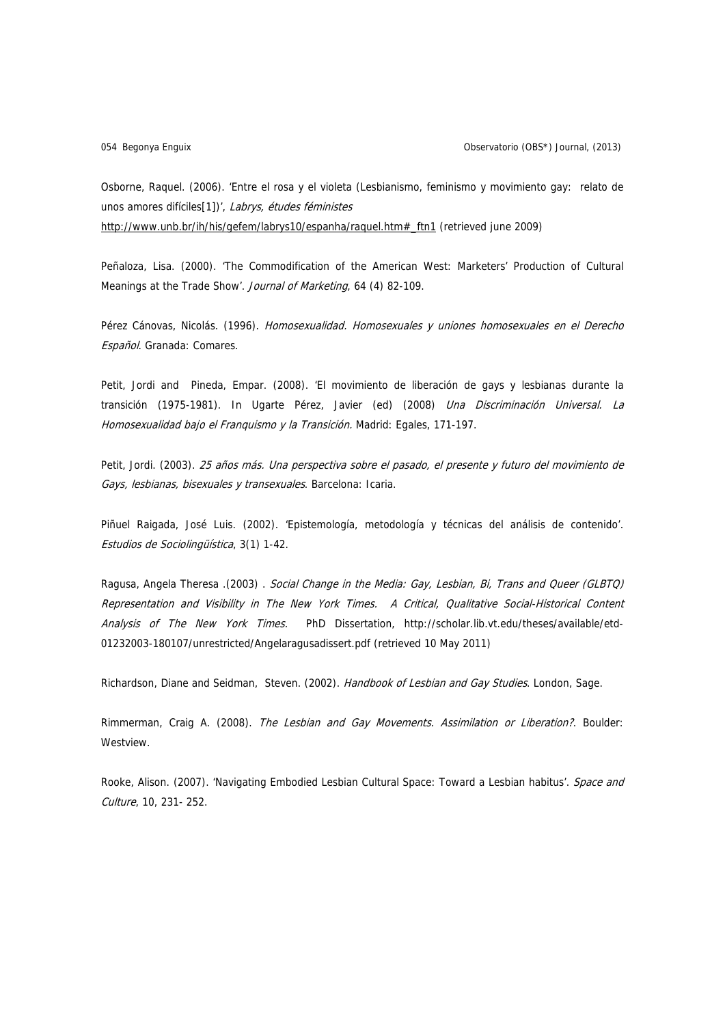054 Begonya Enguix Observatorio (OBS\*) Journal, (2013)

Osborne, Raquel. (2006). 'Entre el rosa y el violeta (Lesbianismo, feminismo y movimiento gay: relato de unos amores difíciles[1])', Labrys, études féministes [http://www.unb.br/ih/his/gefem/labrys10/espanha/raquel.htm#\\_ftn1](http://www.unb.br/ih/his/gefem/labrys10/espanha/raquel.htm#_ftn1) (retrieved june 2009)

Peñaloza, Lisa. (2000). 'The Commodification of the American West: Marketers' Production of Cultural Meanings at the Trade Show'. Journal of Marketing, 64 (4) 82-109.

Pérez Cánovas, Nicolás. (1996). Homosexualidad. Homosexuales y uniones homosexuales en el Derecho Español. Granada: Comares.

Petit, Jordi and Pineda, Empar. (2008). 'El movimiento de liberación de gays y lesbianas durante la transición (1975-1981). In Ugarte Pérez, Javier (ed) (2008) *Una Discriminación Universal. La* Homosexualidad bajo el Franquismo y la Transición. Madrid: Egales, 171-197.

Petit, Jordi. (2003). 25 años más. Una perspectiva sobre el pasado, el presente y futuro del movimiento de Gays, lesbianas, bisexuales y transexuales. Barcelona: Icaria.

Piñuel Raigada, José Luis. (2002). 'Epistemología, metodología y técnicas del análisis de contenido'. Estudios de Sociolingüística, 3(1) 1-42.

Ragusa, Angela Theresa .(2003) . Social Change in the Media: Gay, Lesbian, Bi, Trans and Queer (GLBTQ) Representation and Visibility in The New York Times. A Critical, Qualitative Social-Historical Content Analysis of The New York Times. PhD Dissertation, http://scholar.lib.vt.edu/theses/available/etd-01232003-180107/unrestricted/Angelaragusadissert.pdf (retrieved 10 May 2011)

Richardson, Diane and Seidman, Steven. (2002). Handbook of Lesbian and Gay Studies. London, Sage.

Rimmerman, Craig A. (2008). The Lesbian and Gay Movements. Assimilation or Liberation?. Boulder: Westview.

Rooke, Alison. (2007). 'Navigating Embodied Lesbian Cultural Space: Toward a Lesbian habitus'. Space and Culture, 10, 231- 252.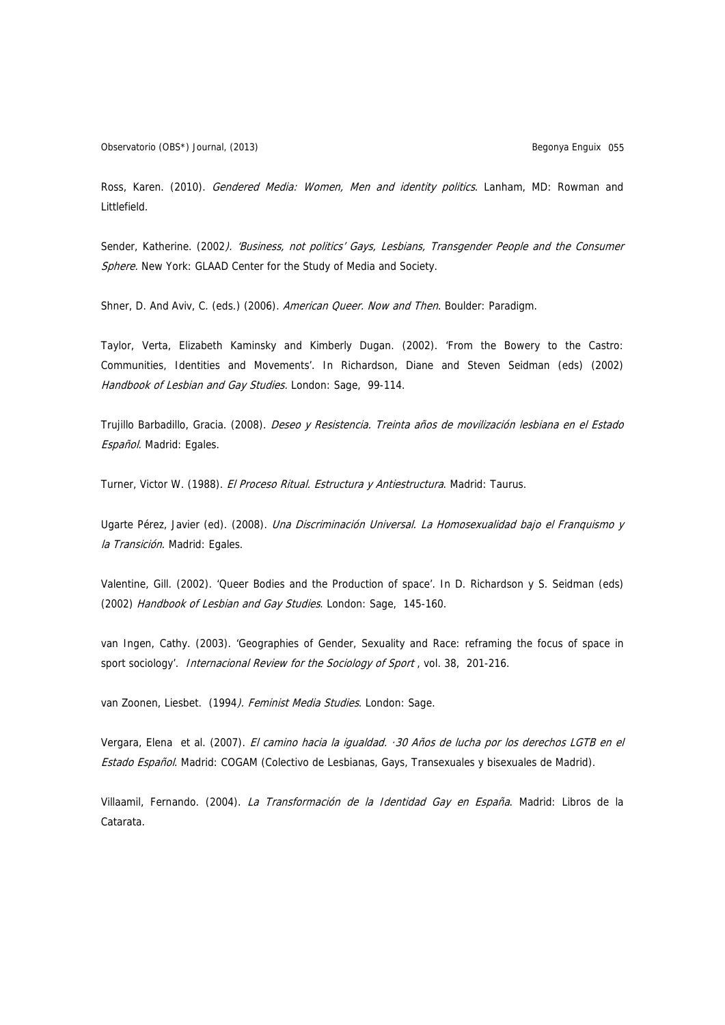Observatorio (OBS\*) Journal, (2013) Begonya Enguix 055

Ross, Karen. (2010). Gendered Media: Women, Men and identity politics. Lanham, MD: Rowman and Littlefield.

Sender, Katherine. (2002). 'Business, not politics' Gays, Lesbians, Transgender People and the Consumer Sphere. New York: GLAAD Center for the Study of Media and Society.

Shner, D. And Aviv, C. (eds.) (2006). American Queer. Now and Then. Boulder: Paradigm.

Taylor, Verta, Elizabeth Kaminsky and Kimberly Dugan. (2002). 'From the Bowery to the Castro: Communities, Identities and Movements'. In Richardson, Diane and Steven Seidman (eds) (2002) Handbook of Lesbian and Gay Studies. London: Sage, 99-114.

Trujillo Barbadillo, Gracia. (2008). Deseo y Resistencia. Treinta años de movilización lesbiana en el Estado Español. Madrid: Egales.

Turner, Victor W. (1988). El Proceso Ritual. Estructura y Antiestructura. Madrid: Taurus.

Ugarte Pérez, Javier (ed). (2008). *Una Discriminación Universal. La Homosexualidad bajo el Franquismo y* la Transición. Madrid: Egales.

Valentine, Gill. (2002). 'Queer Bodies and the Production of space'. In D. Richardson y S. Seidman (eds) (2002) Handbook of Lesbian and Gay Studies. London: Sage, 145-160.

van Ingen, Cathy. (2003). 'Geographies of Gender, Sexuality and Race: reframing the focus of space in sport sociology'. *Internacional Review for the Sociology of Sport*, vol. 38, 201-216.

van Zoonen, Liesbet. (1994). Feminist Media Studies. London: Sage.

Vergara, Elena et al. (2007). El camino hacia la igualdad. · 30 Años de lucha por los derechos LGTB en el Estado Español. Madrid: COGAM (Colectivo de Lesbianas, Gays, Transexuales y bisexuales de Madrid).

Villaamil, Fernando. (2004). La Transformación de la Identidad Gay en España. Madrid: Libros de la Catarata.